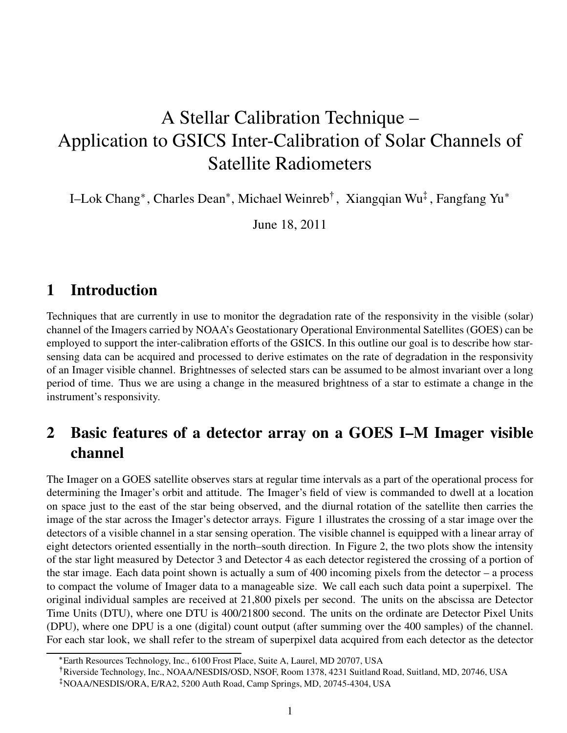# A Stellar Calibration Technique – Application to GSICS Inter-Calibration of Solar Channels of Satellite Radiometers

I–Lok Chang<sup>\*</sup>, Charles Dean<sup>\*</sup>, Michael Weinreb<sup>†</sup>, Xiangqian Wu<sup>‡</sup>, Fangfang Yu<sup>\*</sup>

June 18, 2011

### 1 Introduction

Techniques that are currently in use to monitor the degradation rate of the responsivity in the visible (solar) channel of the Imagers carried by NOAA's Geostationary Operational Environmental Satellites (GOES) can be employed to support the inter-calibration efforts of the GSICS. In this outline our goal is to describe how starsensing data can be acquired and processed to derive estimates on the rate of degradation in the responsivity of an Imager visible channel. Brightnesses of selected stars can be assumed to be almost invariant over a long period of time. Thus we are using a change in the measured brightness of a star to estimate a change in the instrument's responsivity.

### 2 Basic features of a detector array on a GOES I–M Imager visible channel

The Imager on a GOES satellite observes stars at regular time intervals as a part of the operational process for determining the Imager's orbit and attitude. The Imager's field of view is commanded to dwell at a location on space just to the east of the star being observed, and the diurnal rotation of the satellite then carries the image of the star across the Imager's detector arrays. Figure 1 illustrates the crossing of a star image over the detectors of a visible channel in a star sensing operation. The visible channel is equipped with a linear array of eight detectors oriented essentially in the north–south direction. In Figure 2, the two plots show the intensity of the star light measured by Detector 3 and Detector 4 as each detector registered the crossing of a portion of the star image. Each data point shown is actually a sum of 400 incoming pixels from the detector – a process to compact the volume of Imager data to a manageable size. We call each such data point a superpixel. The original individual samples are received at 21,800 pixels per second. The units on the abscissa are Detector Time Units (DTU), where one DTU is 400/21800 second. The units on the ordinate are Detector Pixel Units (DPU), where one DPU is a one (digital) count output (after summing over the 400 samples) of the channel. For each star look, we shall refer to the stream of superpixel data acquired from each detector as the detector

Earth Resources Technology, Inc., 6100 Frost Place, Suite A, Laurel, MD 20707, USA

<sup>|</sup>Riverside Technology, Inc., NOAA/NESDIS/OSD, NSOF, Room 1378, 4231 Suitland Road, Suitland, MD, 20746, USA }NOAA/NESDIS/ORA, E/RA2, 5200 Auth Road, Camp Springs, MD, 20745-4304, USA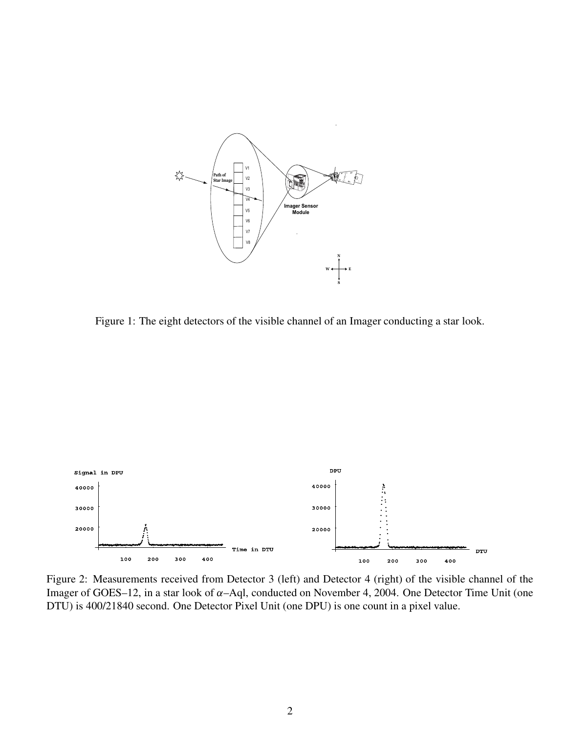

Figure 1: The eight detectors of the visible channel of an Imager conducting a star look.



Figure 2: Measurements received from Detector 3 (left) and Detector 4 (right) of the visible channel of the Imager of GOES–12, in a star look of  $\alpha$ –Aql, conducted on November 4, 2004. One Detector Time Unit (one DTU) is 400/21840 second. One Detector Pixel Unit (one DPU) is one count in a pixel value.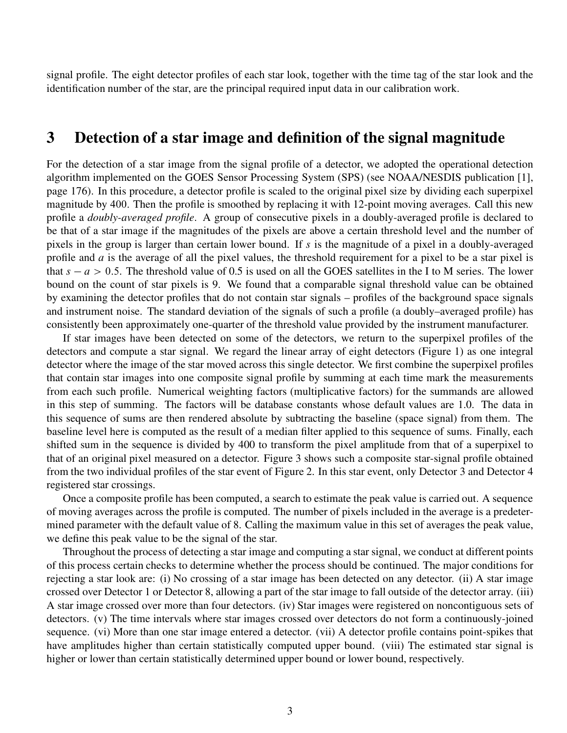signal profile. The eight detector profiles of each star look, together with the time tag of the star look and the identification number of the star, are the principal required input data in our calibration work.

#### 3 Detection of a star image and definition of the signal magnitude

For the detection of a star image from the signal profile of a detector, we adopted the operational detection algorithm implemented on the GOES Sensor Processing System (SPS) (see NOAA/NESDIS publication [1], page 176). In this procedure, a detector profile is scaled to the original pixel size by dividing each superpixel magnitude by 400. Then the profile is smoothed by replacing it with 12-point moving averages. Call this new profile a doubly-averaged profile. A group of consecutive pixels in a doubly-averaged profile is declared to be that of a star image if the magnitudes of the pixels are above a certain threshold level and the number of pixels in the group is larger than certain lower bound. If s is the magnitude of a pixel in a doubly-averaged profile and a is the average of all the pixel values, the threshold requirement for a pixel to be a star pixel is that  $s - a > 0.5$ . The threshold value of 0.5 is used on all the GOES satellites in the I to M series. The lower bound on the count of star pixels is 9. We found that a comparable signal threshold value can be obtained by examining the detector profiles that do not contain star signals – profiles of the background space signals and instrument noise. The standard deviation of the signals of such a profile (a doubly–averaged profile) has consistently been approximately one-quarter of the threshold value provided by the instrument manufacturer.

If star images have been detected on some of the detectors, we return to the superpixel profiles of the detectors and compute a star signal. We regard the linear array of eight detectors (Figure 1) as one integral detector where the image of the star moved across this single detector. We first combine the superpixel profiles that contain star images into one composite signal profile by summing at each time mark the measurements from each such profile. Numerical weighting factors (multiplicative factors) for the summands are allowed in this step of summing. The factors will be database constants whose default values are 1.0. The data in this sequence of sums are then rendered absolute by subtracting the baseline (space signal) from them. The baseline level here is computed as the result of a median filter applied to this sequence of sums. Finally, each shifted sum in the sequence is divided by 400 to transform the pixel amplitude from that of a superpixel to that of an original pixel measured on a detector. Figure 3 shows such a composite star-signal profile obtained from the two individual profiles of the star event of Figure 2. In this star event, only Detector 3 and Detector 4 registered star crossings.

Once a composite profile has been computed, a search to estimate the peak value is carried out. A sequence of moving averages across the profile is computed. The number of pixels included in the average is a predetermined parameter with the default value of 8. Calling the maximum value in this set of averages the peak value, we define this peak value to be the signal of the star.

Throughout the process of detecting a star image and computing a star signal, we conduct at different points of this process certain checks to determine whether the process should be continued. The major conditions for rejecting a star look are: (i) No crossing of a star image has been detected on any detector. (ii) A star image crossed over Detector 1 or Detector 8, allowing a part of the star image to fall outside of the detector array. (iii) A star image crossed over more than four detectors. (iv) Star images were registered on noncontiguous sets of detectors. (v) The time intervals where star images crossed over detectors do not form a continuously-joined sequence. (vi) More than one star image entered a detector. (vii) A detector profile contains point-spikes that have amplitudes higher than certain statistically computed upper bound. (viii) The estimated star signal is higher or lower than certain statistically determined upper bound or lower bound, respectively.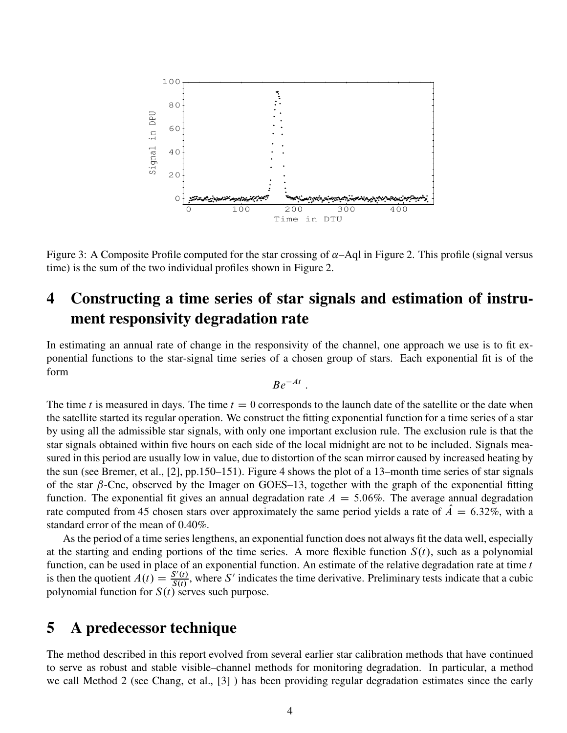

Figure 3: A Composite Profile computed for the star crossing of  $\alpha$ –Aql in Figure 2. This profile (signal versus time) is the sum of the two individual profiles shown in Figure 2.

# 4 Constructing a time series of star signals and estimation of instrument responsivity degradation rate

In estimating an annual rate of change in the responsivity of the channel, one approach we use is to fit exponential functions to the star-signal time series of a chosen group of stars. Each exponential fit is of the form

$$
Be^{-At}.
$$

The time t is measured in days. The time  $t = 0$  corresponds to the launch date of the satellite or the date when the satellite started its regular operation. We construct the fitting exponential function for a time series of a star by using all the admissible star signals, with only one important exclusion rule. The exclusion rule is that the star signals obtained within five hours on each side of the local midnight are not to be included. Signals measured in this period are usually low in value, due to distortion of the scan mirror caused by increased heating by the sun (see Bremer, et al., [2], pp.150–151). Figure 4 shows the plot of a 13–month time series of star signals of the star  $\beta$ -Cnc, observed by the Imager on GOES–13, together with the graph of the exponential fitting function. The exponential fit gives an annual degradation rate  $A = 5.06\%$ . The average annual degradation rate computed from 45 chosen stars over approximately the same period yields a rate of  $\ddot{A} = 6.32\%$ , with a standard error of the mean of 0.40%.

As the period of a time series lengthens, an exponential function does not always fit the data well, especially at the starting and ending portions of the time series. A more flexible function  $S(t)$ , such as a polynomial function, can be used in place of an exponential function. An estimate of the relative degradation rate at time  $t$ is then the quotient  $A(t) = \frac{S'(t)}{S(t)}$  $\frac{S'(t)}{S(t)}$ , where S' indicates the time derivative. Preliminary tests indicate that a cubic polynomial function for  $S(t)$  serves such purpose.

#### 5 A predecessor technique

The method described in this report evolved from several earlier star calibration methods that have continued to serve as robust and stable visible–channel methods for monitoring degradation. In particular, a method we call Method 2 (see Chang, et al., [3] ) has been providing regular degradation estimates since the early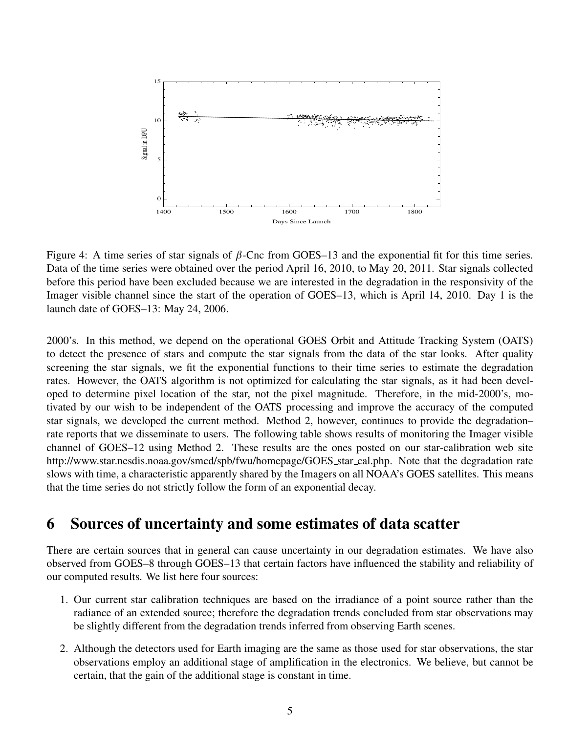

Figure 4: A time series of star signals of  $\beta$ -Cnc from GOES–13 and the exponential fit for this time series. Data of the time series were obtained over the period April 16, 2010, to May 20, 2011. Star signals collected before this period have been excluded because we are interested in the degradation in the responsivity of the Imager visible channel since the start of the operation of GOES–13, which is April 14, 2010. Day 1 is the launch date of GOES–13: May 24, 2006.

2000's. In this method, we depend on the operational GOES Orbit and Attitude Tracking System (OATS) to detect the presence of stars and compute the star signals from the data of the star looks. After quality screening the star signals, we fit the exponential functions to their time series to estimate the degradation rates. However, the OATS algorithm is not optimized for calculating the star signals, as it had been developed to determine pixel location of the star, not the pixel magnitude. Therefore, in the mid-2000's, motivated by our wish to be independent of the OATS processing and improve the accuracy of the computed star signals, we developed the current method. Method 2, however, continues to provide the degradation– rate reports that we disseminate to users. The following table shows results of monitoring the Imager visible channel of GOES–12 using Method 2. These results are the ones posted on our star-calibration web site http://www.star.nesdis.noaa.gov/smcd/spb/fwu/homepage/GOES star cal.php. Note that the degradation rate slows with time, a characteristic apparently shared by the Imagers on all NOAA's GOES satellites. This means that the time series do not strictly follow the form of an exponential decay.

#### 6 Sources of uncertainty and some estimates of data scatter

There are certain sources that in general can cause uncertainty in our degradation estimates. We have also observed from GOES–8 through GOES–13 that certain factors have influenced the stability and reliability of our computed results. We list here four sources:

- 1. Our current star calibration techniques are based on the irradiance of a point source rather than the radiance of an extended source; therefore the degradation trends concluded from star observations may be slightly different from the degradation trends inferred from observing Earth scenes.
- 2. Although the detectors used for Earth imaging are the same as those used for star observations, the star observations employ an additional stage of amplification in the electronics. We believe, but cannot be certain, that the gain of the additional stage is constant in time.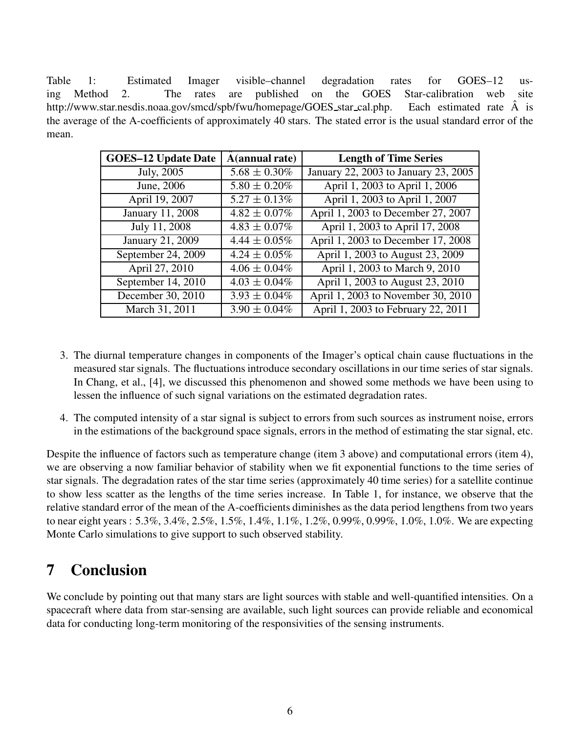Table 1: Estimated Imager visible–channel degradation rates for GOES–12 using Method 2. The rates are published on the GOES Star-calibration web site http://www.star.nesdis.noaa.gov/smcd/spb/fwu/homepage/GOES\_star\_cal.php. Each estimated rate  $\overline{A}$  is the average of the A-coefficients of approximately 40 stars. The stated error is the usual standard error of the mean.

| <b>GOES-12 Update Date</b> | A(annual rate)    | <b>Length of Time Series</b>         |
|----------------------------|-------------------|--------------------------------------|
| July, 2005                 | $5.68 \pm 0.30\%$ | January 22, 2003 to January 23, 2005 |
| June, 2006                 | $5.80 \pm 0.20\%$ | April 1, 2003 to April 1, 2006       |
| April 19, 2007             | $5.27 \pm 0.13\%$ | April 1, 2003 to April 1, 2007       |
| January 11, 2008           | $4.82 \pm 0.07\%$ | April 1, 2003 to December 27, 2007   |
| July 11, 2008              | $4.83 \pm 0.07\%$ | April 1, 2003 to April 17, 2008      |
| January 21, 2009           | $4.44 \pm 0.05\%$ | April 1, 2003 to December 17, 2008   |
| September 24, 2009         | $4.24 \pm 0.05\%$ | April 1, 2003 to August 23, 2009     |
| April 27, 2010             | $4.06 \pm 0.04\%$ | April 1, 2003 to March 9, 2010       |
| September 14, 2010         | $4.03 \pm 0.04\%$ | April 1, 2003 to August 23, 2010     |
| December 30, 2010          | $3.93 \pm 0.04\%$ | April 1, 2003 to November 30, 2010   |
| March 31, 2011             | $3.90 \pm 0.04\%$ | April 1, 2003 to February 22, 2011   |

- 3. The diurnal temperature changes in components of the Imager's optical chain cause fluctuations in the measured star signals. The fluctuations introduce secondary oscillations in our time series of star signals. In Chang, et al., [4], we discussed this phenomenon and showed some methods we have been using to lessen the influence of such signal variations on the estimated degradation rates.
- 4. The computed intensity of a star signal is subject to errors from such sources as instrument noise, errors in the estimations of the background space signals, errors in the method of estimating the star signal, etc.

Despite the influence of factors such as temperature change (item 3 above) and computational errors (item 4), we are observing a now familiar behavior of stability when we fit exponential functions to the time series of star signals. The degradation rates of the star time series (approximately 40 time series) for a satellite continue to show less scatter as the lengths of the time series increase. In Table 1, for instance, we observe that the relative standard error of the mean of the A-coefficients diminishes as the data period lengthens from two years to near eight years : 5.3%, 3.4%, 2.5%, 1.5%, 1.4%, 1.1%, 1.2%, 0.99%, 0.99%, 1.0%, 1.0%. We are expecting Monte Carlo simulations to give support to such observed stability.

# 7 Conclusion

We conclude by pointing out that many stars are light sources with stable and well-quantified intensities. On a spacecraft where data from star-sensing are available, such light sources can provide reliable and economical data for conducting long-term monitoring of the responsivities of the sensing instruments.